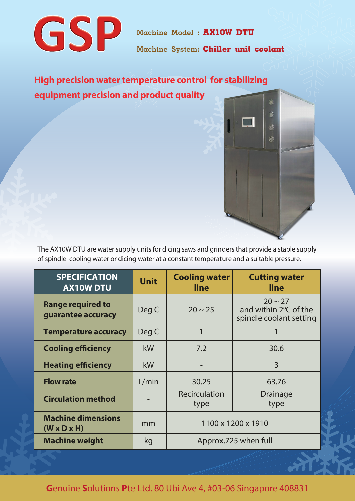

Machine Model : **AX10W DTU**

Machine System: **Chiller unit coolant**

**High precision water temperature control for stabilizing equipment precision and product quality**



The AX10W DTU are water supply units for dicing saws and grinders that provide a stable supply of spindle cooling water or dicing water at a constant temperature and a suitable pressure.

| <b>SPECIFICATION</b><br><b>AX10W DTU</b>             | <b>Unit</b> | <b>Cooling water</b><br>line | <b>Cutting water</b><br>line                                     |
|------------------------------------------------------|-------------|------------------------------|------------------------------------------------------------------|
| <b>Range required to</b><br>guarantee accuracy       | Deg C       | $20 \sim 25$                 | $20 \sim 27$<br>and within 2°C of the<br>spindle coolant setting |
| <b>Temperature accuracy</b>                          | Deg C       | 1                            |                                                                  |
| <b>Cooling efficiency</b>                            | kW          | 7.2                          | 30.6                                                             |
| <b>Heating efficiency</b>                            | kW          |                              | $\overline{3}$                                                   |
| <b>Flow rate</b>                                     | L/min       | 30.25                        | 63.76                                                            |
| <b>Circulation method</b>                            |             | Recirculation<br>type        | Drainage<br>type                                                 |
| <b>Machine dimensions</b><br>$(W \times D \times H)$ | mm          | 1100 x 1200 x 1910           |                                                                  |
| <b>Machine weight</b>                                | kg          | Approx.725 when full         |                                                                  |

**G**enuine **S**olutions **P**te Ltd. 80 Ubi Ave 4, #03-06 Singapore 408831